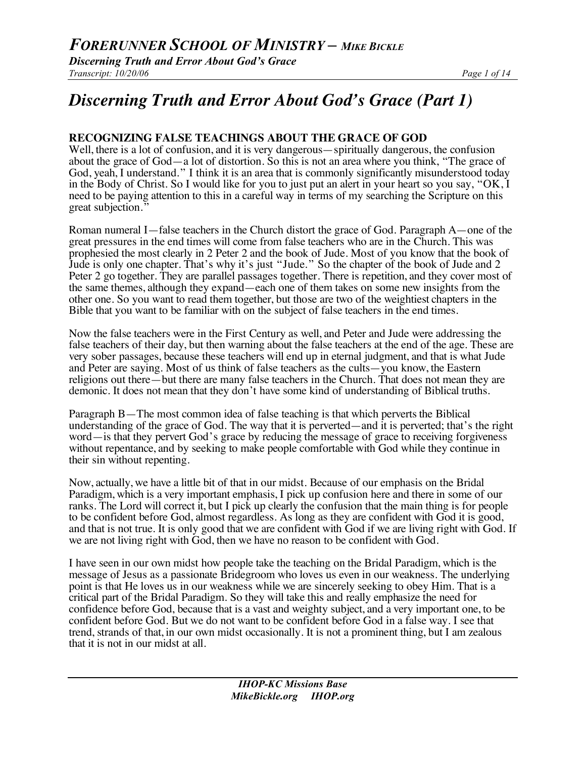*Discerning Truth and Error About God's Grace Transcript: 10/20/06 Page 1 of 14*

# *Discerning Truth and Error About God's Grace (Part 1)*

# **RECOGNIZING FALSE TEACHINGS ABOUT THE GRACE OF GOD**

Well, there is a lot of confusion, and it is very dangerous—spiritually dangerous, the confusion about the grace of God—a lot of distortion. So this is not an area where you think, "The grace of God, yeah, I understand." I think it is an area that is commonly significantly misunderstood today in the Body of Christ. So I would like for you to just put an alert in your heart so you say, "OK, I need to be paying attention to this in a careful way in terms of my searching the Scripture on this great subjection."

Roman numeral I—false teachers in the Church distort the grace of God. Paragraph A—one of the great pressures in the end times will come from false teachers who are in the Church. This was prophesied the most clearly in 2 Peter 2 and the book of Jude. Most of you know that the book of Jude is only one chapter. That's why it's just "Jude." So the chapter of the book of Jude and 2 Peter 2 go together. They are parallel passages together. There is repetition, and they cover most of the same themes, although they expand—each one of them takes on some new insights from the other one. So you want to read them together, but those are two of the weightiest chapters in the Bible that you want to be familiar with on the subject of false teachers in the end times.

Now the false teachers were in the First Century as well, and Peter and Jude were addressing the false teachers of their day, but then warning about the false teachers at the end of the age. These are very sober passages, because these teachers will end up in eternal judgment, and that is what Jude and Peter are saying. Most of us think of false teachers as the cults—you know, the Eastern religions out there—but there are many false teachers in the Church. That does not mean they are demonic. It does not mean that they don't have some kind of understanding of Biblical truths.

Paragraph B—The most common idea of false teaching is that which perverts the Biblical understanding of the grace of God. The way that it is perverted—and it is perverted; that's the right word—is that they pervert God's grace by reducing the message of grace to receiving forgiveness without repentance, and by seeking to make people comfortable with God while they continue in their sin without repenting.

Now, actually, we have a little bit of that in our midst. Because of our emphasis on the Bridal Paradigm, which is a very important emphasis, I pick up confusion here and there in some of our ranks. The Lord will correct it, but I pick up clearly the confusion that the main thing is for people to be confident before God, almost regardless. As long as they are confident with God it is good, and that is not true. It is only good that we are confident with God if we are living right with God. If we are not living right with God, then we have no reason to be confident with God.

I have seen in our own midst how people take the teaching on the Bridal Paradigm, which is the message of Jesus as a passionate Bridegroom who loves us even in our weakness. The underlying point is that He loves us in our weakness while we are sincerely seeking to obey Him. That is a critical part of the Bridal Paradigm. So they will take this and really emphasize the need for confidence before God, because that is a vast and weighty subject, and a very important one, to be confident before God. But we do not want to be confident before God in a false way. I see that trend, strands of that, in our own midst occasionally. It is not a prominent thing, but I am zealous that it is not in our midst at all.

> *IHOP-KC Missions Base MikeBickle.org IHOP.org*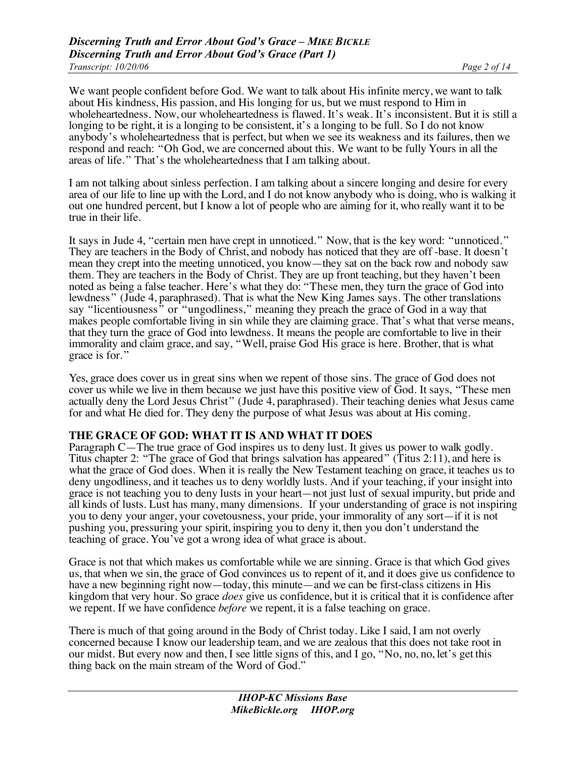We want people confident before God. We want to talk about His infinite mercy, we want to talk about His kindness, His passion, and His longing for us, but we must respond to Him in wholeheartedness. Now, our wholeheartedness is flawed. It's weak. It's inconsistent. But it is still a longing to be right, it is a longing to be consistent, it's a longing to be full. So I do not know anybody's wholeheartedness that is perfect, but when we see its weakness and its failures, then we respond and reach: "Oh God, we are concerned about this. We want to be fully Yours in all the areas of life." That's the wholeheartedness that I am talking about.

I am not talking about sinless perfection. I am talking about a sincere longing and desire for every area of our life to line up with the Lord, and I do not know anybody who is doing, who is walking it out one hundred percent, but I know a lot of people who are aiming for it, who really want it to be true in their life.

It says in Jude 4, "certain men have crept in unnoticed." Now, that is the key word: "unnoticed." They are teachers in the Body of Christ, and nobody has noticed that they are off -base. It doesn't mean they crept into the meeting unnoticed, you know—they sat on the back row and nobody saw them. They are teachers in the Body of Christ. They are up front teaching, but they haven't been noted as being a false teacher. Here's what they do: "These men, they turn the grace of God into lewdness" (Jude 4, paraphrased). That is what the New King James says. The other translations say "licentiousness" or "ungodliness," meaning they preach the grace of God in a way that makes people comfortable living in sin while they are claiming grace. That's what that verse means, that they turn the grace of God into lewdness. It means the people are comfortable to live in their immorality and claim grace, and say, "Well, praise God His grace is here. Brother, that is what grace is for."

Yes, grace does cover us in great sins when we repent of those sins. The grace of God does not cover us while we live in them because we just have this positive view of God. It says, "These men actually deny the Lord Jesus Christ" (Jude 4, paraphrased). Their teaching denies what Jesus came for and what He died for. They deny the purpose of what Jesus was about at His coming.

## **THE GRACE OF GOD: WHAT IT IS AND WHAT IT DOES**

Paragraph C—The true grace of God inspires us to deny lust. It gives us power to walk godly. Titus chapter 2: "The grace of God that brings salvation has appeared" (Titus 2:11), and here is what the grace of God does. When it is really the New Testament teaching on grace, it teaches us to deny ungodliness, and it teaches us to deny worldly lusts. And if your teaching, if your insight into grace is not teaching you to deny lusts in your heart—not just lust of sexual impurity, but pride and all kinds of lusts. Lust has many, many dimensions. If your understanding of grace is not inspiring you to deny your anger, your covetousness, your pride, your immorality of any sort—if it is not pushing you, pressuring your spirit, inspiring you to deny it, then you don't understand the teaching of grace. You've got a wrong idea of what grace is about.

Grace is not that which makes us comfortable while we are sinning. Grace is that which God gives us, that when we sin, the grace of God convinces us to repent of it, and it does give us confidence to have a new beginning right now—today, this minute—and we can be first-class citizens in His kingdom that very hour. So grace *does* give us confidence, but it is critical that it is confidence after we repent. If we have confidence *before* we repent, it is a false teaching on grace.

There is much of that going around in the Body of Christ today. Like I said, I am not overly concerned because I know our leadership team, and we are zealous that this does not take root in our midst. But every now and then, I see little signs of this, and I go, "No, no, no, let's get this thing back on the main stream of the Word of God."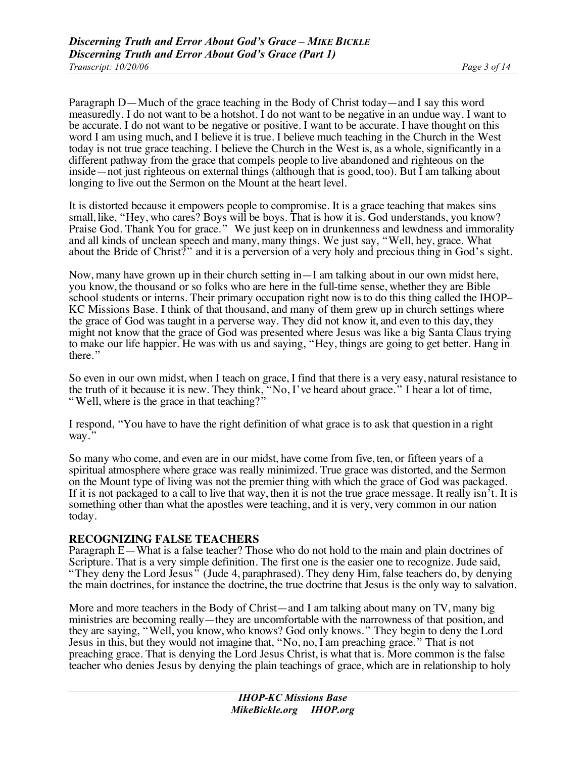Paragraph D—Much of the grace teaching in the Body of Christ today—and I say this word measuredly. I do not want to be a hotshot. I do not want to be negative in an undue way. I want to be accurate. I do not want to be negative or positive. I want to be accurate. I have thought on this word I am using much, and I believe it is true. I believe much teaching in the Church in the West today is not true grace teaching. I believe the Church in the West is, as a whole, significantly in a different pathway from the grace that compels people to live abandoned and righteous on the inside—not just righteous on external things (although that is good, too). But I am talking about longing to live out the Sermon on the Mount at the heart level.

It is distorted because it empowers people to compromise. It is a grace teaching that makes sins small, like, "Hey, who cares? Boys will be boys. That is how it is. God understands, you know? Praise God. Thank You for grace." We just keep on in drunkenness and lewdness and immorality and all kinds of unclean speech and many, many things. We just say, "Well, hey, grace. What about the Bride of Christ?" and it is a perversion of a very holy and precious thing in God's sight.

Now, many have grown up in their church setting in—I am talking about in our own midst here, you know, the thousand or so folks who are here in the full-time sense, whether they are Bible school students or interns. Their primary occupation right now is to do this thing called the IHOP– KC Missions Base. I think of that thousand, and many of them grew up in church settings where the grace of God was taught in a perverse way. They did not know it, and even to this day, they might not know that the grace of God was presented where Jesus was like a big Santa Claus trying to make our life happier. He was with us and saying, "Hey, things are going to get better. Hang in there."

So even in our own midst, when I teach on grace, I find that there is a very easy, natural resistance to the truth of it because it is new. They think, "No, I've heard about grace." I hear a lot of time, " Well, where is the grace in that teaching?"

I respond, "You have to have the right definition of what grace is to ask that question in a right way."

So many who come, and even are in our midst, have come from five, ten, or fifteen years of a spiritual atmosphere where grace was really minimized. True grace was distorted, and the Sermon on the Mount type of living was not the premier thing with which the grace of God was packaged. If it is not packaged to a call to live that way, then it is not the true grace message. It really isn't. It is something other than what the apostles were teaching, and it is very, very common in our nation today.

#### **RECOGNIZING FALSE TEACHERS**

Paragraph E—What is a false teacher? Those who do not hold to the main and plain doctrines of Scripture. That is a very simple definition. The first one is the easier one to recognize. Jude said, "They deny the Lord Jesus" (Jude 4, paraphrased). They deny Him, false teachers do, by denying the main doctrines, for instance the doctrine, the true doctrine that Jesus is the only way to salvation.

More and more teachers in the Body of Christ—and I am talking about many on TV, many big ministries are becoming really—they are uncomfortable with the narrowness of that position, and they are saying, "Well, you know, who knows? God only knows." They begin to deny the Lord Jesus in this, but they would not imagine that, "No, no, I am preaching grace." That is not preaching grace. That is denying the Lord Jesus Christ, is what that is. More common is the false teacher who denies Jesus by denying the plain teachings of grace, which are in relationship to holy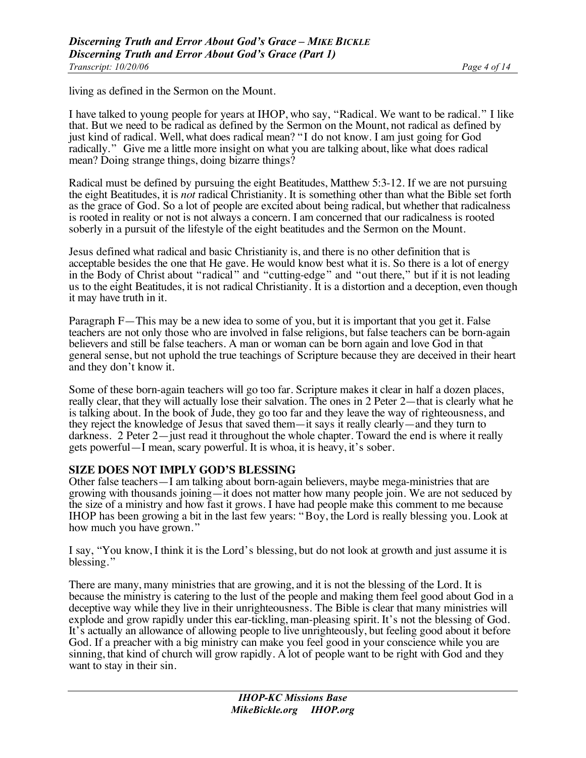living as defined in the Sermon on the Mount.

I have talked to young people for years at IHOP, who say, "Radical. We want to be radical." I like that. But we need to be radical as defined by the Sermon on the Mount, not radical as defined by just kind of radical. Well, what does radical mean? "I do not know. I am just going for God radically." Give me a little more insight on what you are talking about, like what does radical mean? Doing strange things, doing bizarre things?

Radical must be defined by pursuing the eight Beatitudes, Matthew 5:3-12. If we are not pursuing the eight Beatitudes, it is *not* radical Christianity. It is something other than what the Bible set forth as the grace of God. So a lot of people are excited about being radical, but whether that radicalness is rooted in reality or not is not always a concern. I am concerned that our radicalness is rooted soberly in a pursuit of the lifestyle of the eight beatitudes and the Sermon on the Mount.

Jesus defined what radical and basic Christianity is, and there is no other definition that is acceptable besides the one that He gave. He would know best what it is. So there is a lot of energy in the Body of Christ about "radical" and "cutting-edge" and "out there," but if it is not leading us to the eight Beatitudes, it is not radical Christianity. It is a distortion and a deception, even though it may have truth in it.

Paragraph F—This may be a new idea to some of you, but it is important that you get it. False teachers are not only those who are involved in false religions, but false teachers can be born-again believers and still be false teachers. A man or woman can be born again and love God in that general sense, but not uphold the true teachings of Scripture because they are deceived in their heart and they don't know it.

Some of these born-again teachers will go too far. Scripture makes it clear in half a dozen places, really clear, that they will actually lose their salvation. The ones in 2 Peter 2—that is clearly what he is talking about. In the book of Jude, they go too far and they leave the way of righteousness, and they reject the knowledge of Jesus that saved them—it says it really clearly—and they turn to darkness. 2 Peter 2—just read it throughout the whole chapter. Toward the end is where it really gets powerful—I mean, scary powerful. It is whoa, it is heavy, it's sober.

#### **SIZE DOES NOT IMPLY GOD'S BLESSING**

Other false teachers—I am talking about born-again believers, maybe mega-ministries that are growing with thousands joining—it does not matter how many people join. We are not seduced by the size of a ministry and how fast it grows. I have had people make this comment to me because IHOP has been growing a bit in the last few years: "Boy, the Lord is really blessing you. Look at how much you have grown."

I say, "You know, I think it is the Lord's blessing, but do not look at growth and just assume it is blessing."

There are many, many ministries that are growing, and it is not the blessing of the Lord. It is because the ministry is catering to the lust of the people and making them feel good about God in a deceptive way while they live in their unrighteousness. The Bible is clear that many ministries will explode and grow rapidly under this ear-tickling, man-pleasing spirit. It's not the blessing of God. It's actually an allowance of allowing people to live unrighteously, but feeling good about it before God. If a preacher with a big ministry can make you feel good in your conscience while you are sinning, that kind of church will grow rapidly. A lot of people want to be right with God and they want to stay in their sin.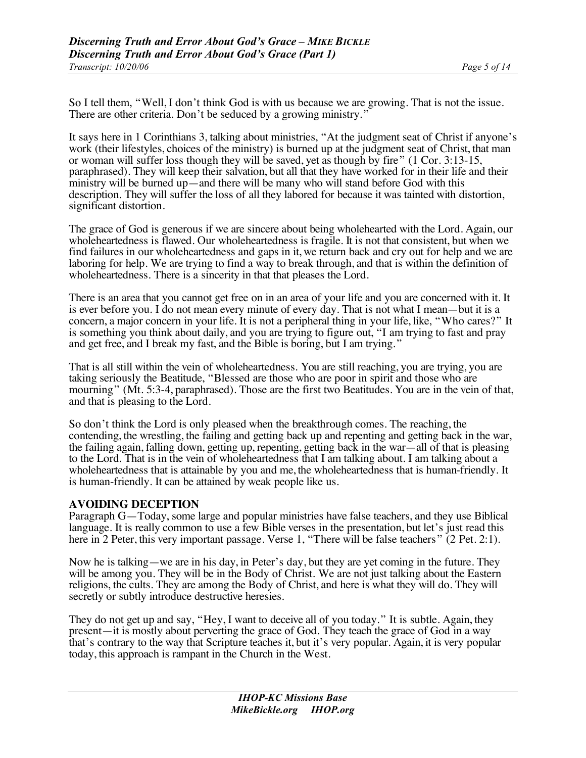So I tell them, "Well, I don't think God is with us because we are growing. That is not the issue. There are other criteria. Don't be seduced by a growing ministry."

It says here in 1 Corinthians 3, talking about ministries, "At the judgment seat of Christ if anyone's work (their lifestyles, choices of the ministry) is burned up at the judgment seat of Christ, that man or woman will suffer loss though they will be saved, yet as though by fire" (1 Cor. 3:13-15, paraphrased). They will keep their salvation, but all that they have worked for in their life and their ministry will be burned up—and there will be many who will stand before God with this description. They will suffer the loss of all they labored for because it was tainted with distortion, significant distortion.

The grace of God is generous if we are sincere about being wholehearted with the Lord. Again, our wholeheartedness is flawed. Our wholeheartedness is fragile. It is not that consistent, but when we find failures in our wholeheartedness and gaps in it, we return back and cry out for help and we are laboring for help. We are trying to find a way to break through, and that is within the definition of wholeheartedness. There is a sincerity in that that pleases the Lord.

There is an area that you cannot get free on in an area of your life and you are concerned with it. It is ever before you. I do not mean every minute of every day. That is not what I mean—but it is a concern, a major concern in your life. It is not a peripheral thing in your life, like, "Who cares?" It is something you think about daily, and you are trying to figure out, "I am trying to fast and pray and get free, and I break my fast, and the Bible is boring, but I am trying."

That is all still within the vein of wholeheartedness. You are still reaching, you are trying, you are taking seriously the Beatitude, "Blessed are those who are poor in spirit and those who are mourning" (Mt. 5:3-4, paraphrased). Those are the first two Beatitudes. You are in the vein of that, and that is pleasing to the Lord.

So don't think the Lord is only pleased when the breakthrough comes. The reaching, the contending, the wrestling, the failing and getting back up and repenting and getting back in the war, the failing again, falling down, getting up, repenting, getting back in the war—all of that is pleasing to the Lord. That is in the vein of wholeheartedness that I am talking about. I am talking about a wholeheartedness that is attainable by you and me, the wholeheartedness that is human-friendly. It is human-friendly. It can be attained by weak people like us.

#### **AVOIDING DECEPTION**

Paragraph G—Today, some large and popular ministries have false teachers, and they use Biblical language. It is really common to use a few Bible verses in the presentation, but let's just read this here in 2 Peter, this very important passage. Verse 1, "There will be false teachers" (2 Pet. 2:1).

Now he is talking—we are in his day, in Peter's day, but they are yet coming in the future. They will be among you. They will be in the Body of Christ. We are not just talking about the Eastern religions, the cults. They are among the Body of Christ, and here is what they will do. They will secretly or subtly introduce destructive heresies.

They do not get up and say, "Hey, I want to deceive all of you today." It is subtle. Again, they present—it is mostly about perverting the grace of God. They teach the grace of God in a way that's contrary to the way that Scripture teaches it, but it's very popular. Again, it is very popular today, this approach is rampant in the Church in the West.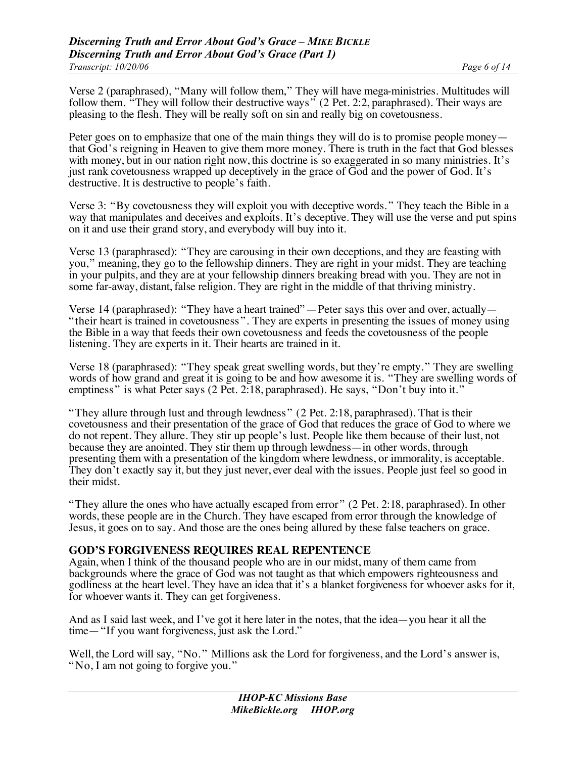Verse 2 (paraphrased), "Many will follow them," They will have mega-ministries. Multitudes will follow them. "They will follow their destructive ways" (2 Pet. 2:2, paraphrased). Their ways are pleasing to the flesh. They will be really soft on sin and really big on covetousness.

Peter goes on to emphasize that one of the main things they will do is to promise people money— that God's reigning in Heaven to give them more money. There is truth in the fact that God blesses with money, but in our nation right now, this doctrine is so exaggerated in so many ministries. It's just rank covetousness wrapped up deceptively in the grace of God and the power of God. It's destructive. It is destructive to people's faith.

Verse 3: "By covetousness they will exploit you with deceptive words. " They teach the Bible in a way that manipulates and deceives and exploits. It's deceptive. They will use the verse and put spins on it and use their grand story, and everybody will buy into it.

Verse 13 (paraphrased): "They are carousing in their own deceptions, and they are feasting with you," meaning, they go to the fellowship dinners. They are right in your midst. They are teaching in your pulpits, and they are at your fellowship dinners breaking bread with you. They are not in some far-away, distant, false religion. They are right in the middle of that thriving ministry.

Verse 14 (paraphrased): "They have a heart trained"—Peter says this over and over, actually— "their heart is trained in covetousness". They are experts in presenting the issues of money using the Bible in a way that feeds their own covetousness and feeds the covetousness of the people listening. They are experts in it. Their hearts are trained in it.

Verse 18 (paraphrased): "They speak great swelling words, but they're empty." They are swelling words of how grand and great it is going to be and how awesome it is. "They are swelling words of emptiness" is what Peter says (2 Pet. 2:18, paraphrased). He says, "Don't buy into it."

"They allure through lust and through lewdness" (2 Pet. 2:18, paraphrased). That is their covetousness and their presentation of the grace of God that reduces the grace of God to where we do not repent. They allure. They stir up people's lust. People like them because of their lust, not because they are anointed. They stir them up through lewdness—in other words, through presenting them with a presentation of the kingdom where lewdness, or immorality, is acceptable. They don't exactly say it, but they just never, ever deal with the issues. People just feel so good in their midst.

"They allure the ones who have actually escaped from error" (2 Pet. 2:18, paraphrased). In other words, these people are in the Church. They have escaped from error through the knowledge of Jesus, it goes on to say. And those are the ones being allured by these false teachers on grace.

#### **GOD'S FORGIVENESS REQUIRES REAL REPENTENCE**

Again, when I think of the thousand people who are in our midst, many of them came from backgrounds where the grace of God was not taught as that which empowers righteousness and godliness at the heart level. They have an idea that it's a blanket forgiveness for whoever asks for it, for whoever wants it. They can get forgiveness.

And as I said last week, and I've got it here later in the notes, that the idea—you hear it all the time—"If you want forgiveness, just ask the Lord."

Well, the Lord will say, "No." Millions ask the Lord for forgiveness, and the Lord's answer is, "No, I am not going to forgive you."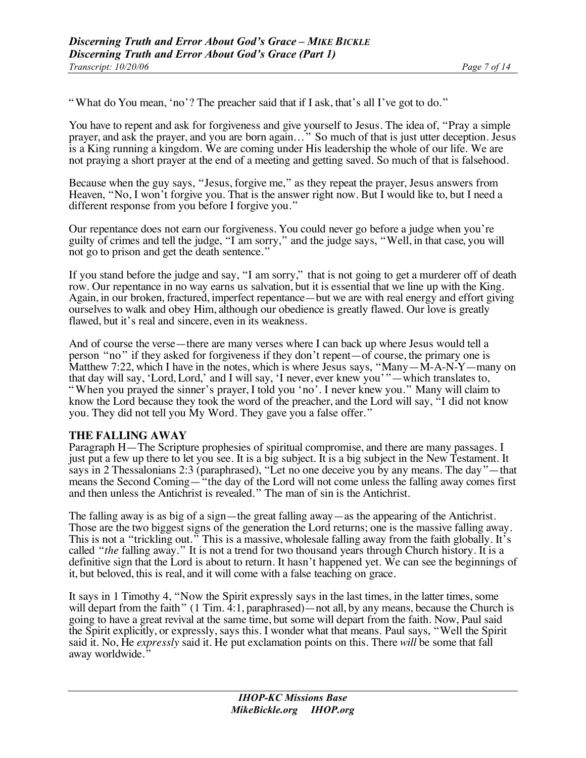" What do You mean, 'no'? The preacher said that if I ask, that's all I've got to do."

You have to repent and ask for forgiveness and give yourself to Jesus. The idea of, "Pray a simple prayer, and ask the prayer, and you are born again..." So much of that is just utter deception. Jesus is a King running a kingdom. We are coming under His leadership the whole of our life. We are not praying a short prayer at the end of a meeting and getting saved. So much of that is falsehood.

Because when the guy says, "Jesus, forgive me," as they repeat the prayer, Jesus answers from Heaven, "No, I won't forgive you. That is the answer right now. But I would like to, but I need a different response from you before I forgive you."

Our repentance does not earn our forgiveness. You could never go before a judge when you're guilty of crimes and tell the judge, "I am sorry," and the judge says, "Well, in that case, you will not go to prison and get the death sentence."

If you stand before the judge and say, "I am sorry," that is not going to get a murderer off of death row. Our repentance in no way earns us salvation, but it is essential that we line up with the King. Again, in our broken, fractured, imperfect repentance—but we are with real energy and effort giving ourselves to walk and obey Him, although our obedience is greatly flawed. Our love is greatly flawed, but it's real and sincere, even in its weakness.

And of course the verse—there are many verses where I can back up where Jesus would tell a person "no" if they asked for forgiveness if they don't repent—of course, the primary one is Matthew 7:22, which I have in the notes, which is where Jesus says, "Many—M-A-N-Y—many on that day will say, 'Lord, Lord,' and I will say, 'I never, ever knew you' "—which translates to, " When you prayed the sinner's prayer, I told you 'no'. I never knew you." Many will claim to know the Lord because they took the word of the preacher, and the Lord will say, "I did not know you. They did not tell you My Word. They gave you a false offer."

#### **THE FALLING AWAY**

Paragraph H—The Scripture prophesies of spiritual compromise, and there are many passages. I just put a few up there to let you see. It is a big subject. It is a big subject in the New Testament. It says in 2 Thessalonians 2:3 (paraphrased), "Let no one deceive you by any means. The day"—that means the Second Coming—"the day of the Lord will not come unless the falling away comes first and then unless the Antichrist is revealed." The man of sin is the Antichrist.

The falling away is as big of a sign—the great falling away—as the appearing of the Antichrist. Those are the two biggest signs of the generation the Lord returns; one is the massive falling away. This is not a "trickling out." This is a massive, wholesale falling away from the faith globally. It's called "*the* falling away." It is not a trend for two thousand years through Church history. It is a definitive sign that the Lord is about to return. It hasn't happened yet. We can see the beginnings of it, but beloved, this is real, and it will come with a false teaching on grace.

It says in 1 Timothy 4, "Now the Spirit expressly says in the last times, in the latter times, some will depart from the faith"  $(1 \text{ Tim. } 4:1, \text{paraphrased})$ —not all, by any means, because the Church is going to have a great revival at the same time, but some will depart from the faith. Now, Paul said the Spirit explicitly, or expressly, says this. I wonder what that means. Paul says, "Well the Spirit said it. No, He *expressly* said it. He put exclamation points on this. There *will* be some that fall away worldwide.'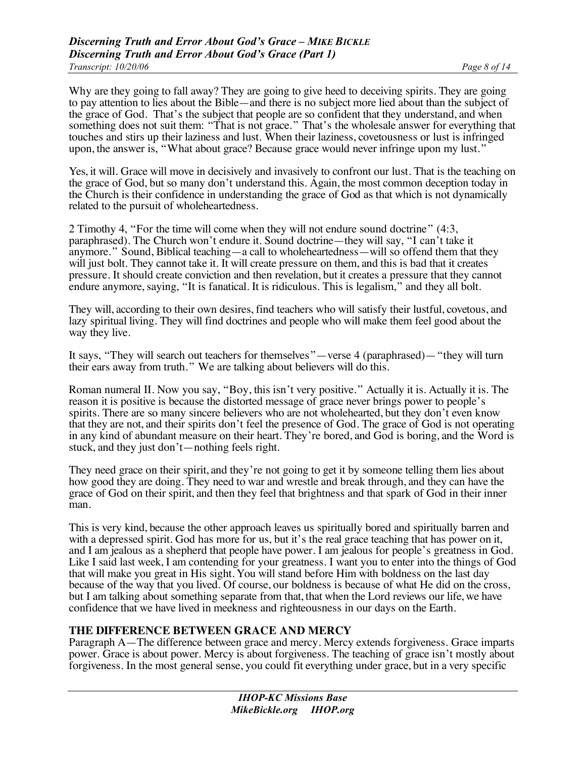Why are they going to fall away? They are going to give heed to deceiving spirits. They are going to pay attention to lies about the Bible—and there is no subject more lied about than the subject of the grace of God. That's the subject that people are so confident that they understand, and when something does not suit them: "That is not grace." That's the wholesale answer for everything that touches and stirs up their laziness and lust. When their laziness, covetousness or lust is infringed upon, the answer is, "What about grace? Because grace would never infringe upon my lust."

Yes, it will. Grace will move in decisively and invasively to confront our lust. That is the teaching on the grace of God, but so many don't understand this. Again, the most common deception today in the Church is their confidence in understanding the grace of God as that which is not dynamically related to the pursuit of wholeheartedness.

2 Timothy 4, "For the time will come when they will not endure sound doctrine" (4:3, paraphrased). The Church won't endure it. Sound doctrine—they will say, "I can't take it anymore." Sound, Biblical teaching—a call to wholeheartedness—will so offend them that they will just bolt. They cannot take it. It will create pressure on them, and this is bad that it creates pressure. It should create conviction and then revelation, but it creates a pressure that they cannot endure anymore, saying, "It is fanatical. It is ridiculous. This is legalism," and they all bolt.

They will, according to their own desires, find teachers who will satisfy their lustful, covetous, and lazy spiritual living. They will find doctrines and people who will make them feel good about the way they live.

It says, "They will search out teachers for themselves"—verse 4 (paraphrased)—"they will turn their ears away from truth." We are talking about believers will do this.

Roman numeral II. Now you say, "Boy, this isn't very positive." Actually it is. Actually it is. The reason it is positive is because the distorted message of grace never brings power to people's spirits. There are so many sincere believers who are not wholehearted, but they don't even know that they are not, and their spirits don't feel the presence of God. The grace of God is not operating in any kind of abundant measure on their heart. They're bored, and God is boring, and the Word is stuck, and they just don't—nothing feels right.

They need grace on their spirit, and they're not going to get it by someone telling them lies about how good they are doing. They need to war and wrestle and break through, and they can have the grace of God on their spirit, and then they feel that brightness and that spark of God in their inner man.

This is very kind, because the other approach leaves us spiritually bored and spiritually barren and with a depressed spirit. God has more for us, but it's the real grace teaching that has power on it, and I am jealous as a shepherd that people have power. I am jealous for people's greatness in God. Like I said last week, I am contending for your greatness. I want you to enter into the things of God that will make you great in His sight. You will stand before Him with boldness on the last day because of the way that you lived. Of course, our boldness is because of what He did on the cross, but I am talking about something separate from that, that when the Lord reviews our life, we have confidence that we have lived in meekness and righteousness in our days on the Earth.

#### **THE DIFFERENCE BETWEEN GRACE AND MERCY**

Paragraph A—The difference between grace and mercy. Mercy extends forgiveness. Grace imparts power. Grace is about power. Mercy is about forgiveness. The teaching of grace isn't mostly about forgiveness. In the most general sense, you could fit everything under grace, but in a very specific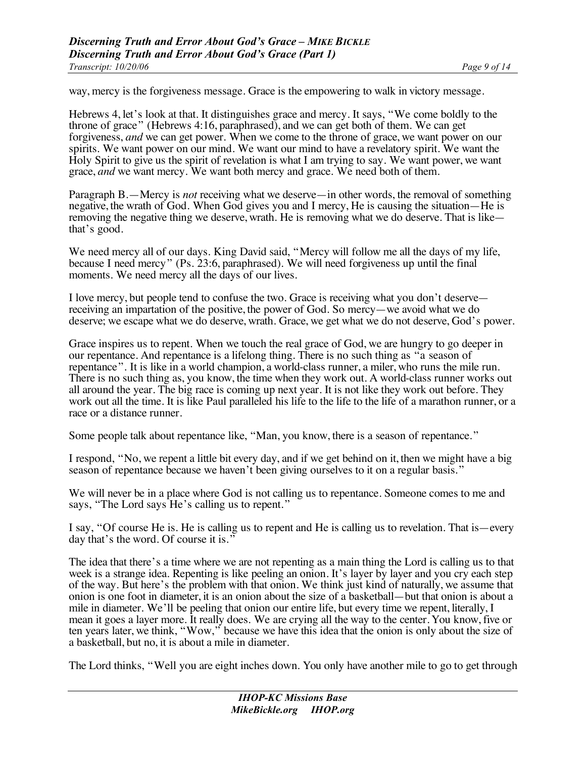way, mercy is the forgiveness message. Grace is the empowering to walk in victory message.

Hebrews 4, let's look at that. It distinguishes grace and mercy. It says, "We come boldly to the throne of grace" (Hebrews 4:16, paraphrased), and we can get both of them. We can get forgiveness, *and* we can get power. When we come to the throne of grace, we want power on our spirits. We want power on our mind. We want our mind to have a revelatory spirit. We want the Holy Spirit to give us the spirit of revelation is what I am trying to say. We want power, we want grace, *and* we want mercy. We want both mercy and grace. We need both of them.

Paragraph B.—Mercy is *not* receiving what we deserve—in other words, the removal of something negative, the wrath of God. When God gives you and I mercy, He is causing the situation—He is removing the negative thing we deserve, wrath. He is removing what we do deserve. That is like— that's good.

We need mercy all of our days. King David said, "Mercy will follow me all the days of my life, because I need mercy" (Ps. 23:6, paraphrased). We will need forgiveness up until the final moments. We need mercy all the days of our lives.

I love mercy, but people tend to confuse the two. Grace is receiving what you don't deserve receiving an impartation of the positive, the power of God. So mercy—we avoid what we do deserve; we escape what we do deserve, wrath. Grace, we get what we do not deserve, God's power.

Grace inspires us to repent. When we touch the real grace of God, we are hungry to go deeper in our repentance. And repentance is a lifelong thing. There is no such thing as "a season of repentance". It is like in a world champion, a world-class runner, a miler, who runs the mile run. There is no such thing as, you know, the time when they work out. A world-class runner works out all around the year. The big race is coming up next year. It is not like they work out before. They work out all the time. It is like Paul paralleled his life to the life to the life of a marathon runner, or a race or a distance runner.

Some people talk about repentance like, "Man, you know, there is a season of repentance."

I respond, "No, we repent a little bit every day, and if we get behind on it, then we might have a big season of repentance because we haven't been giving ourselves to it on a regular basis."

We will never be in a place where God is not calling us to repentance. Someone comes to me and says, "The Lord says He's calling us to repent."

I say, "Of course He is. He is calling us to repent and He is calling us to revelation. That is—every day that's the word. Of course it is."

The idea that there's a time where we are not repenting as a main thing the Lord is calling us to that week is a strange idea. Repenting is like peeling an onion. It's layer by layer and you cry each step of the way. But here's the problem with that onion. We think just kind of naturally, we assume that onion is one foot in diameter, it is an onion about the size of a basketball—but that onion is about a mile in diameter. We'll be peeling that onion our entire life, but every time we repent, literally, I mean it goes a layer more. It really does. We are crying all the way to the center. You know, five or ten years later, we think, "Wow," because we have this idea that the onion is only about the size of a basketball, but no, it is about a mile in diameter.

The Lord thinks, "Well you are eight inches down. You only have another mile to go to get through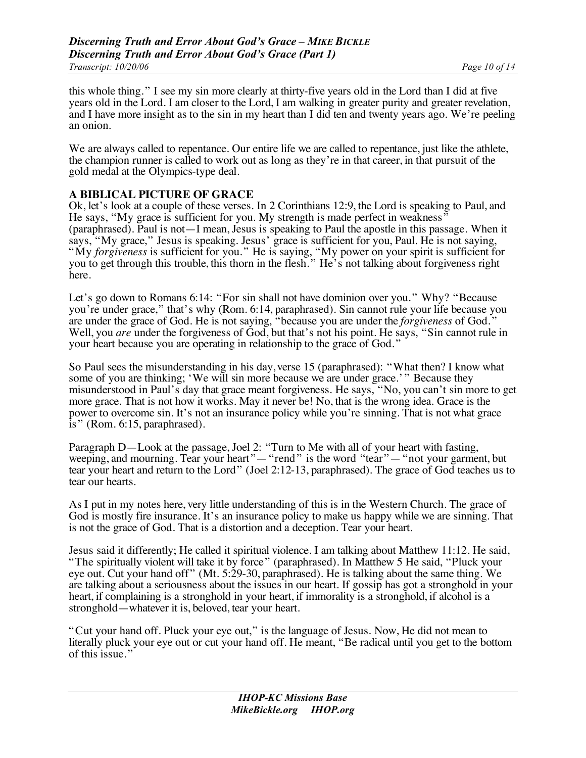this whole thing." I see my sin more clearly at thirty-five years old in the Lord than I did at five years old in the Lord. I am closer to the Lord, I am walking in greater purity and greater revelation, and I have more insight as to the sin in my heart than I did ten and twenty years ago. We're peeling an onion.

We are always called to repentance. Our entire life we are called to repentance, just like the athlete, the champion runner is called to work out as long as they're in that career, in that pursuit of the gold medal at the Olympics-type deal.

## **A BIBLICAL PICTURE OF GRACE**

Ok, let's look at a couple of these verses. In 2 Corinthians 12:9, the Lord is speaking to Paul, and He says, "My grace is sufficient for you. My strength is made perfect in weakness' (paraphrased). Paul is not—I mean, Jesus is speaking to Paul the apostle in this passage. When it says, "My grace," Jesus is speaking. Jesus' grace is sufficient for you, Paul. He is not saying, "My *forgiveness* is sufficient for you." He is saying, "My power on your spirit is sufficient for you to get through this trouble, this thorn in the flesh." He's not talking about forgiveness right here.

Let's go down to Romans 6:14: "For sin shall not have dominion over you." Why? "Because you're under grace," that's why (Rom. 6:14, paraphrased). Sin cannot rule your life because you are under the grace of God. He is not saying, "because you are under the *forgiveness* of God. " Well, you *are* under the forgiveness of God, but that's not his point. He says, "Sin cannot rule in your heart because you are operating in relationship to the grace of God."

So Paul sees the misunderstanding in his day, verse 15 (paraphrased): "What then? I know what some of you are thinking; 'We will sin more because we are under grace.' " Because they misunderstood in Paul's day that grace meant forgiveness. He says, "No, you can't sin more to get more grace. That is not how it works. May it never be! No, that is the wrong idea. Grace is the power to overcome sin. It's not an insurance policy while you're sinning. That is not what grace is" (Rom. 6:15, paraphrased).

Paragraph D—Look at the passage, Joel 2: "Turn to Me with all of your heart with fasting, weeping, and mourning. Tear your heart"— "rend" is the word "tear"— "not your garment, but tear your heart and return to the Lord" (Joel 2:12-13, paraphrased). The grace of God teaches us to tear our hearts.

As I put in my notes here, very little understanding of this is in the Western Church. The grace of God is mostly fire insurance. It's an insurance policy to make us happy while we are sinning. That is not the grace of God. That is a distortion and a deception. Tear your heart.

Jesus said it differently; He called it spiritual violence. I am talking about Matthew 11:12. He said, "The spiritually violent will take it by force" (paraphrased). In Matthew 5 He said, "Pluck your eye out. Cut your hand off" (Mt. 5:29-30, paraphrased). He is talking about the same thing. We are talking about a seriousness about the issues in our heart. If gossip has got a stronghold in your heart, if complaining is a stronghold in your heart, if immorality is a stronghold, if alcohol is a stronghold—whatever it is, beloved, tear your heart.

"Cut your hand off. Pluck your eye out," is the language of Jesus. Now, He did not mean to literally pluck your eye out or cut your hand off. He meant, "Be radical until you get to the bottom of this issue."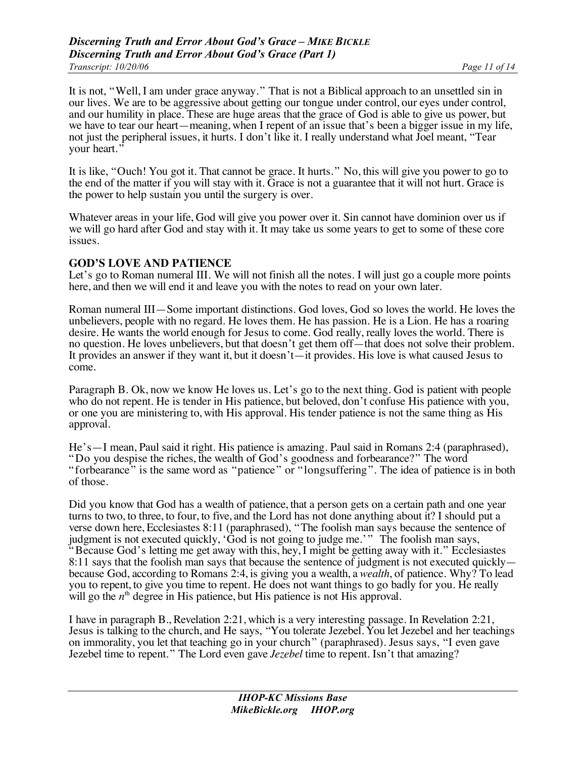It is not, "Well, I am under grace anyway." That is not a Biblical approach to an unsettled sin in our lives. We are to be aggressive about getting our tongue under control, our eyes under control, and our humility in place. These are huge areas that the grace of God is able to give us power, but we have to tear our heart—meaning, when I repent of an issue that's been a bigger issue in my life, not just the peripheral issues, it hurts. I don't like it. I really understand what Joel meant, "Tear your heart."

It is like, "Ouch! You got it. That cannot be grace. It hurts." No, this will give you power to go to the end of the matter if you will stay with it. Grace is not a guarantee that it will not hurt. Grace is the power to help sustain you until the surgery is over.

Whatever areas in your life, God will give you power over it. Sin cannot have dominion over us if we will go hard after God and stay with it. It may take us some years to get to some of these core issues.

#### **GOD'S LOVE AND PATIENCE**

Let's go to Roman numeral III. We will not finish all the notes. I will just go a couple more points here, and then we will end it and leave you with the notes to read on your own later.

Roman numeral III—Some important distinctions. God loves, God so loves the world. He loves the unbelievers, people with no regard. He loves them. He has passion. He is a Lion. He has a roaring desire. He wants the world enough for Jesus to come. God really, really loves the world. There is no question. He loves unbelievers, but that doesn't get them off—that does not solve their problem. It provides an answer if they want it, but it doesn't—it provides. His love is what caused Jesus to come.

Paragraph B. Ok, now we know He loves us. Let's go to the next thing. God is patient with people who do not repent. He is tender in His patience, but beloved, don't confuse His patience with you, or one you are ministering to, with His approval. His tender patience is not the same thing as His approval.

He's—I mean, Paul said it right. His patience is amazing. Paul said in Romans 2:4 (paraphrased), "Do you despise the riches, the wealth of God's goodness and forbearance?" The word "forbearance" is the same word as "patience" or "longsuffering". The idea of patience is in both of those.

Did you know that God has a wealth of patience, that a person gets on a certain path and one year turns to two, to three, to four, to five, and the Lord has not done anything about it? I should put a verse down here, Ecclesiastes 8:11 (paraphrased), "The foolish man says because the sentence of judgment is not executed quickly, 'God is not going to judge me.'" The foolish man says, "Because God's letting me get away with this, hey, I might be getting away with it." Ecclesiastes 8:11 says that the foolish man says that because the sentence of judgment is not executed quickly because God, according to Romans 2:4, is giving you a wealth, a *wealth*, of patience. Why? To lead you to repent, to give you time to repent. He does not want things to go badly for you. He really will go the  $n<sup>th</sup>$  degree in His patience, but His patience is not His approval.

I have in paragraph B., Revelation 2:21, which is a very interesting passage. In Revelation 2:21, Jesus is talking to the church, and He says, "You tolerate Jezebel. You let Jezebel and her teachings on immorality, you let that teaching go in your church" (paraphrased). Jesus says, "I even gave Jezebel time to repent." The Lord even gave *Jezebel* time to repent. Isn't that amazing?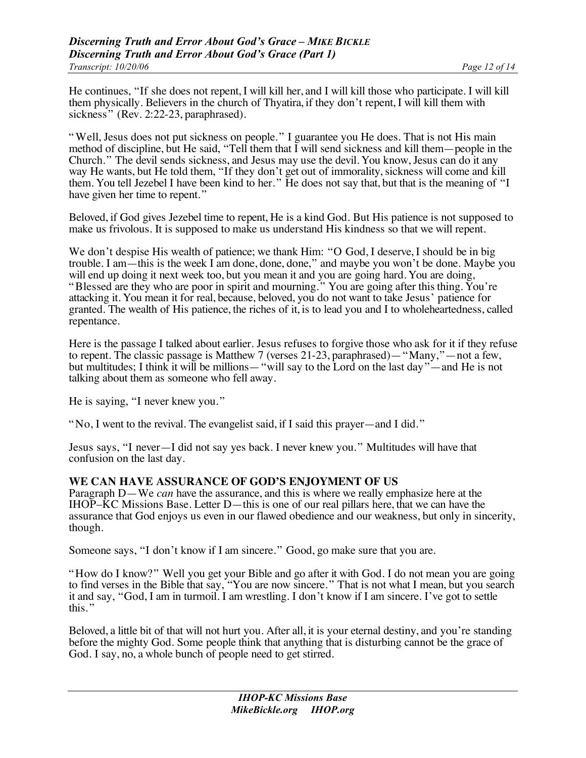He continues, "If she does not repent, I will kill her, and I will kill those who participate. I will kill them physically. Believers in the church of Thyatira, if they don't repent, I will kill them with sickness" (Rev. 2:22-23, paraphrased).

" Well, Jesus does not put sickness on people." I guarantee you He does. That is not His main method of discipline, but He said, "Tell them that I will send sickness and kill them—people in the Church." The devil sends sickness, and Jesus may use the devil. You know, Jesus can do it any way He wants, but He told them, "If they don't get out of immorality, sickness will come and kill them. You tell Jezebel I have been kind to her." He does not say that, but that is the meaning of "I have given her time to repent."

Beloved, if God gives Jezebel time to repent, He is a kind God. But His patience is not supposed to make us frivolous. It is supposed to make us understand His kindness so that we will repent.

We don't despise His wealth of patience; we thank Him: "O God, I deserve, I should be in big trouble. I am—this is the week I am done, done, done," and maybe you won't be done. Maybe you will end up doing it next week too, but you mean it and you are going hard. You are doing, "Blessed are they who are poor in spirit and mourning." You are going after this thing. You're attacking it. You mean it for real, because, beloved, you do not want to take Jesus' patience for granted. The wealth of His patience, the riches of it, is to lead you and I to wholeheartedness, called repentance.

Here is the passage I talked about earlier. Jesus refuses to forgive those who ask for it if they refuse to repent. The classic passage is Matthew 7 (verses 21-23, paraphrased)—"Many,"—not a few, but multitudes; I think it will be millions—"will say to the Lord on the last day"—and He is not talking about them as someone who fell away.

He is saying, "I never knew you."

"No, I went to the revival. The evangelist said, if I said this prayer—and I did."

Jesus says, "I never—I did not say yes back. I never knew you." Multitudes will have that confusion on the last day.

#### **WE CAN HAVE ASSURANCE OF GOD'S ENJOYMENT OF US**

Paragraph D—We *can* have the assurance, and this is where we really emphasize here at the IHOP–KC Missions Base. Letter D—this is one of our real pillars here, that we can have the assurance that God enjoys us even in our flawed obedience and our weakness, but only in sincerity, though.

Someone says, "I don't know if I am sincere." Good, go make sure that you are.

"How do I know?" Well you get your Bible and go after it with God. I do not mean you are going to find verses in the Bible that say, "You are now sincere." That is not what I mean, but you search it and say, "God, I am in turmoil. I am wrestling. I don't know if I am sincere. I've got to settle this. "

Beloved, a little bit of that will not hurt you. After all, it is your eternal destiny, and you're standing before the mighty God. Some people think that anything that is disturbing cannot be the grace of God. I say, no, a whole bunch of people need to get stirred.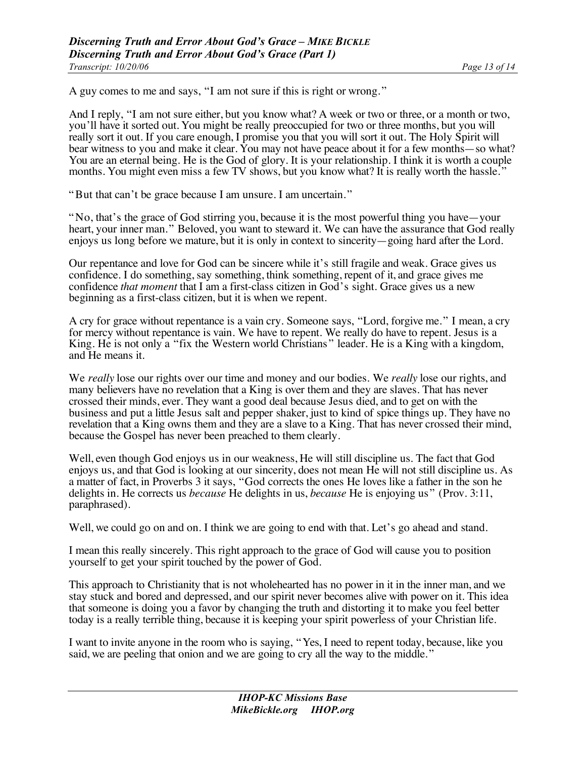A guy comes to me and says, "I am not sure if this is right or wrong."

And I reply, "I am not sure either, but you know what? A week or two or three, or a month or two, you'll have it sorted out. You might be really preoccupied for two or three months, but you will really sort it out. If you care enough, I promise you that you will sort it out. The Holy Spirit will bear witness to you and make it clear. You may not have peace about it for a few months—so what? You are an eternal being. He is the God of glory. It is your relationship. I think it is worth a couple months. You might even miss a few TV shows, but you know what? It is really worth the hassle."

"But that can't be grace because I am unsure. I am uncertain."

"No, that's the grace of God stirring you, because it is the most powerful thing you have—your heart, your inner man." Beloved, you want to steward it. We can have the assurance that God really enjoys us long before we mature, but it is only in context to sincerity—going hard after the Lord.

Our repentance and love for God can be sincere while it's still fragile and weak. Grace gives us confidence. I do something, say something, think something, repent of it, and grace gives me confidence *that moment* that I am a first-class citizen in God's sight. Grace gives us a new beginning as a first-class citizen, but it is when we repent.

A cry for grace without repentance is a vain cry. Someone says, "Lord, forgive me." I mean, a cry for mercy without repentance is vain. We have to repent. We really do have to repent. Jesus is a King. He is not only a "fix the Western world Christians" leader. He is a King with a kingdom, and He means it.

We *really* lose our rights over our time and money and our bodies. We *really* lose our rights, and many believers have no revelation that a King is over them and they are slaves. That has never crossed their minds, ever. They want a good deal because Jesus died, and to get on with the business and put a little Jesus salt and pepper shaker, just to kind of spice things up. They have no revelation that a King owns them and they are a slave to a King. That has never crossed their mind, because the Gospel has never been preached to them clearly.

Well, even though God enjoys us in our weakness, He will still discipline us. The fact that God enjoys us, and that God is looking at our sincerity, does not mean He will not still discipline us. As a matter of fact, in Proverbs 3 it says, "God corrects the ones He loves like a father in the son he delights in. He corrects us *because* He delights in us, *because* He is enjoying us" (Prov. 3:11, paraphrased).

Well, we could go on and on. I think we are going to end with that. Let's go ahead and stand.

I mean this really sincerely. This right approach to the grace of God will cause you to position yourself to get your spirit touched by the power of God.

This approach to Christianity that is not wholehearted has no power in it in the inner man, and we stay stuck and bored and depressed, and our spirit never becomes alive with power on it. This idea that someone is doing you a favor by changing the truth and distorting it to make you feel better today is a really terrible thing, because it is keeping your spirit powerless of your Christian life.

I want to invite anyone in the room who is saying, "Yes, I need to repent today, because, like you said, we are peeling that onion and we are going to cry all the way to the middle."